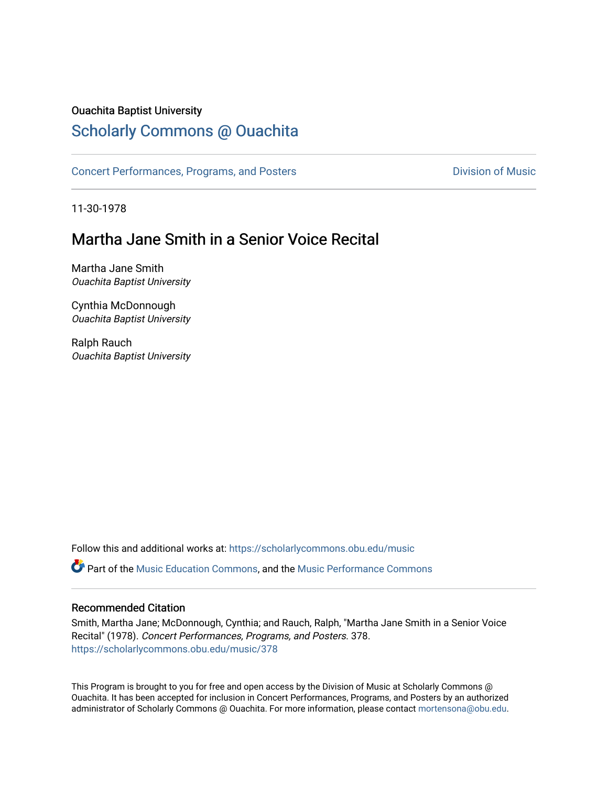#### Ouachita Baptist University

## [Scholarly Commons @ Ouachita](https://scholarlycommons.obu.edu/)

[Concert Performances, Programs, and Posters](https://scholarlycommons.obu.edu/music) **Division of Music** Division of Music

11-30-1978

# Martha Jane Smith in a Senior Voice Recital

Martha Jane Smith Ouachita Baptist University

Cynthia McDonnough Ouachita Baptist University

Ralph Rauch Ouachita Baptist University

Follow this and additional works at: [https://scholarlycommons.obu.edu/music](https://scholarlycommons.obu.edu/music?utm_source=scholarlycommons.obu.edu%2Fmusic%2F378&utm_medium=PDF&utm_campaign=PDFCoverPages) 

**C** Part of the [Music Education Commons,](http://network.bepress.com/hgg/discipline/1246?utm_source=scholarlycommons.obu.edu%2Fmusic%2F378&utm_medium=PDF&utm_campaign=PDFCoverPages) and the Music Performance Commons

#### Recommended Citation

Smith, Martha Jane; McDonnough, Cynthia; and Rauch, Ralph, "Martha Jane Smith in a Senior Voice Recital" (1978). Concert Performances, Programs, and Posters. 378. [https://scholarlycommons.obu.edu/music/378](https://scholarlycommons.obu.edu/music/378?utm_source=scholarlycommons.obu.edu%2Fmusic%2F378&utm_medium=PDF&utm_campaign=PDFCoverPages) 

This Program is brought to you for free and open access by the Division of Music at Scholarly Commons @ Ouachita. It has been accepted for inclusion in Concert Performances, Programs, and Posters by an authorized administrator of Scholarly Commons @ Ouachita. For more information, please contact [mortensona@obu.edu](mailto:mortensona@obu.edu).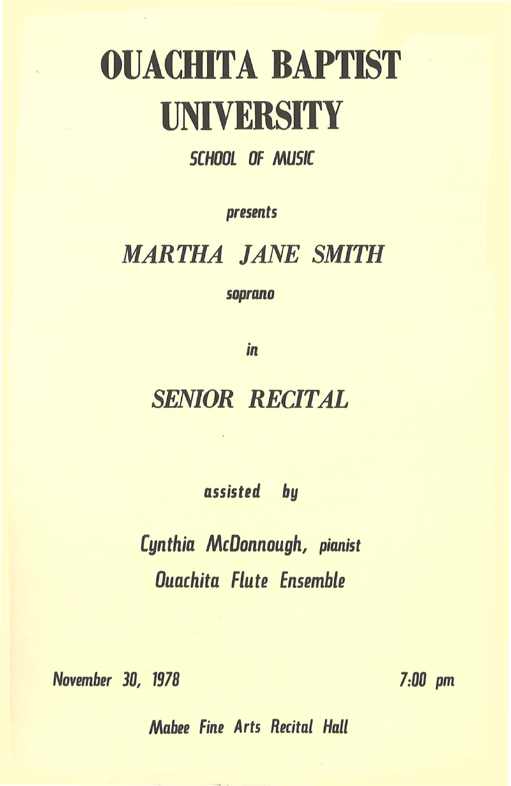# OUACHITA BAPTIST **UNIVERSITY**

#### SCHOOL OF MUSIC

*presents* 

# *MARTHA JANE SMITH*

*soprano* 

*in* 

# *SENIOR RECITAL*

*assisted by* 

*Cynthia McDonnough, pianist Ouachita Flute Ensemble* 

*November 30, 1978* 

*7:00 pm* 

*Mabee Fine Arts Recital Hall*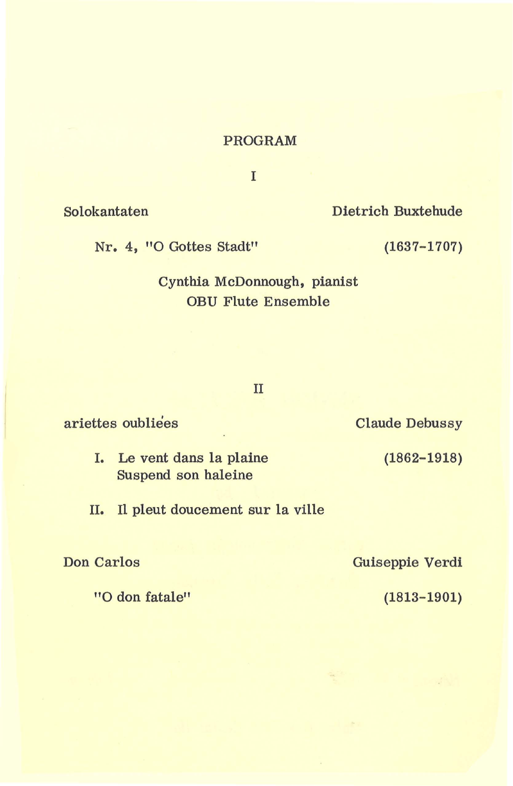#### PROGRAM

I

Solokantaten Dietrich Buxtehude

Nr. 4, "0 Gottes Stadt" (1637-1707)

Cynthia McDonnough, pianist OBU Flute Ensemble

#### II

ariettes oubliees

- I. Le vent dans la plaine Suspend son haleine
- II. Il pleut doucement sur la ville

Don Carlos

"O don fatale"

Claude Debussy

(1862-1918)

Guiseppie Verdi

(1813-1901)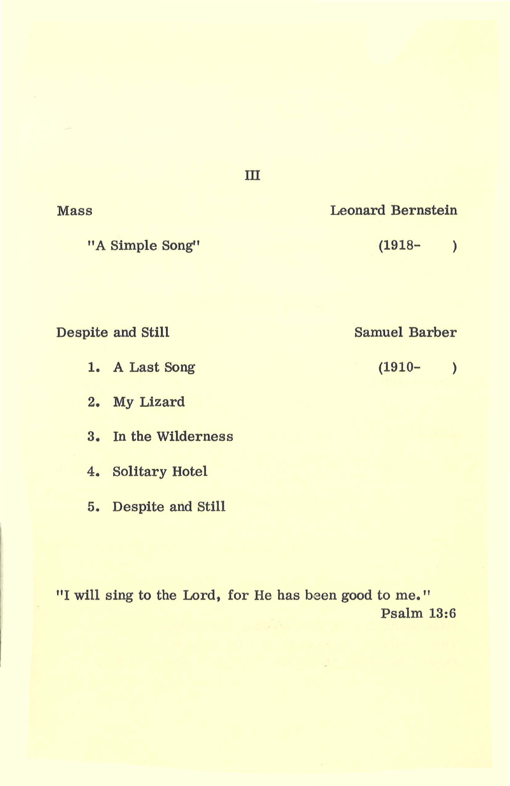| "A Simple Song"   | $(1918 -$            |
|-------------------|----------------------|
| Despite and Still | <b>Samuel Barber</b> |
| 1. A Last Song    | $(1910 -$            |
| My Lizard<br>2.   |                      |

III

"I will sing to the Lord, for He has been good to me." Psalm 13:6

Mass Leonard Bernstein

3. In the Wilderness

4. Solitary Hotel

5. Despite and Still